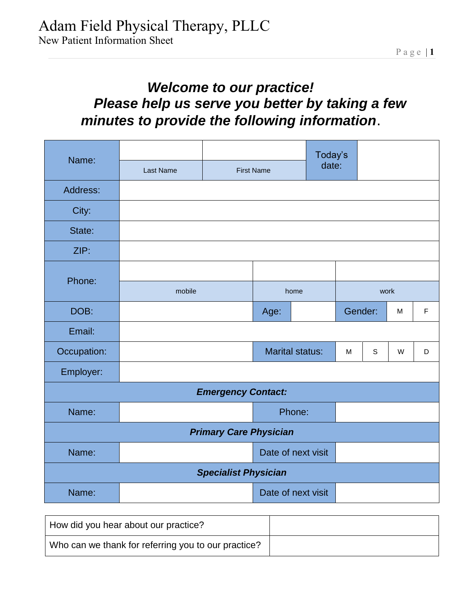## *Welcome to our practice! Please help us serve you better by taking a few minutes to provide the following information*.

| Name:                         |           |                             |                        |        | Today's |         |             |           |   |
|-------------------------------|-----------|-----------------------------|------------------------|--------|---------|---------|-------------|-----------|---|
|                               | Last Name | <b>First Name</b>           |                        | date:  |         |         |             |           |   |
| Address:                      |           |                             |                        |        |         |         |             |           |   |
| City:                         |           |                             |                        |        |         |         |             |           |   |
| State:                        |           |                             |                        |        |         |         |             |           |   |
| ZIP:                          |           |                             |                        |        |         |         |             |           |   |
| Phone:                        |           |                             |                        |        |         |         |             |           |   |
|                               | mobile    |                             | home                   |        | work    |         |             |           |   |
| DOB:                          |           |                             | Age:                   |        |         | Gender: |             | ${\sf M}$ | F |
| Email:                        |           |                             |                        |        |         |         |             |           |   |
| Occupation:                   |           |                             | <b>Marital status:</b> |        |         | M       | $\mathsf S$ | W         | D |
| Employer:                     |           |                             |                        |        |         |         |             |           |   |
|                               |           | <b>Emergency Contact:</b>   |                        |        |         |         |             |           |   |
| Name:                         |           |                             |                        | Phone: |         |         |             |           |   |
| <b>Primary Care Physician</b> |           |                             |                        |        |         |         |             |           |   |
| Name:                         |           | Date of next visit          |                        |        |         |         |             |           |   |
|                               |           | <b>Specialist Physician</b> |                        |        |         |         |             |           |   |
| Name:                         |           |                             | Date of next visit     |        |         |         |             |           |   |

| How did you hear about our practice?                |  |
|-----------------------------------------------------|--|
| Who can we thank for referring you to our practice? |  |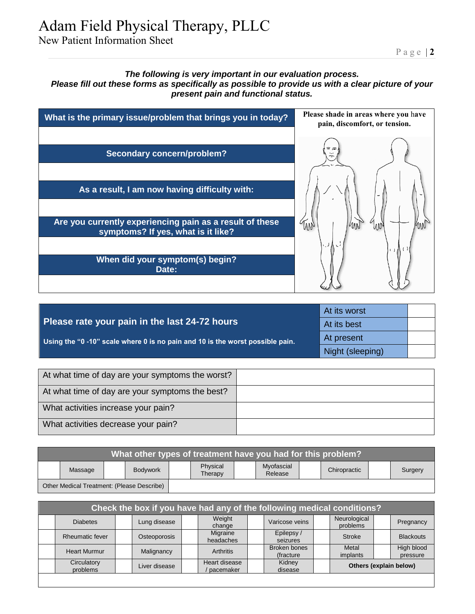# Adam Field Physical Therapy, PLLC

New Patient Information Sheet

### *The following is very important in our evaluation process. Please fill out these forms as specifically as possible to provide us with a clear picture of your present pain and functional status.*



|                                                                               | At its worst     |  |
|-------------------------------------------------------------------------------|------------------|--|
| Please rate your pain in the last 24-72 hours                                 | At its best      |  |
| Using the "0 -10" scale where 0 is no pain and 10 is the worst possible pain. | At present       |  |
|                                                                               | Night (sleeping) |  |
|                                                                               |                  |  |

| At what time of day are your symptoms the worst? |  |
|--------------------------------------------------|--|
| At what time of day are your symptoms the best?  |  |
| What activities increase your pain?              |  |
| What activities decrease your pain?              |  |

| What other types of treatment have you had for this problem? |         |  |                 |                                                                         |  |  |  |  |  |  |  |
|--------------------------------------------------------------|---------|--|-----------------|-------------------------------------------------------------------------|--|--|--|--|--|--|--|
|                                                              | Massage |  | <b>Bodywork</b> | Myofascial<br>Physical<br>Chiropractic<br>Surgery<br>Release<br>Therapy |  |  |  |  |  |  |  |
| Other Medical Treatment: (Please Describe)                   |         |  |                 |                                                                         |  |  |  |  |  |  |  |

| Check the box if you have had any of the following medical conditions? |                         |  |               |  |                            |  |                            |  |                          |  |                        |
|------------------------------------------------------------------------|-------------------------|--|---------------|--|----------------------------|--|----------------------------|--|--------------------------|--|------------------------|
|                                                                        | <b>Diabetes</b>         |  | Lung disease  |  | Weight<br>change           |  | Varicose veins             |  | Neurological<br>problems |  | Pregnancy              |
|                                                                        | Rheumatic fever         |  | Osteoporosis  |  | Migraine<br>headaches      |  | Epilepsy/<br>seizures      |  | Stroke                   |  | <b>Blackouts</b>       |
|                                                                        | <b>Heart Murmur</b>     |  | Malignancy    |  | <b>Arthritis</b>           |  | Broken bones<br>(fracture) |  | Metal<br>implants        |  | High blood<br>pressure |
|                                                                        | Circulatory<br>problems |  | Liver disease |  | Heart disease<br>pacemaker |  | Kidney<br>disease          |  | Others (explain below)   |  |                        |
|                                                                        |                         |  |               |  |                            |  |                            |  |                          |  |                        |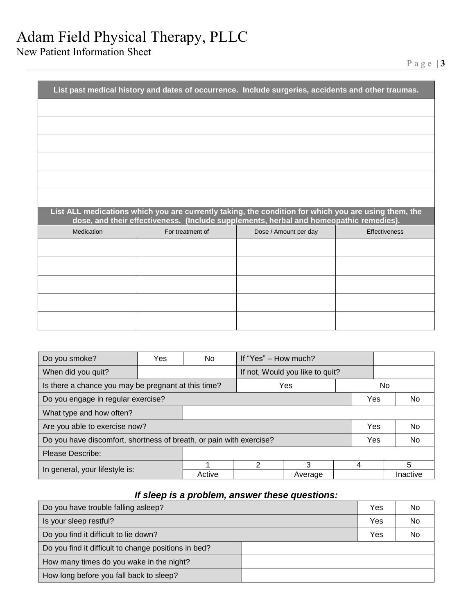## Adam Field Physical Therapy, PLLC

New Patient Information Sheet

|            | List past medical history and dates of occurrence. Include surgeries, accidents and other traumas.                                                                                             |                       |               |
|------------|------------------------------------------------------------------------------------------------------------------------------------------------------------------------------------------------|-----------------------|---------------|
|            |                                                                                                                                                                                                |                       |               |
|            |                                                                                                                                                                                                |                       |               |
|            |                                                                                                                                                                                                |                       |               |
|            |                                                                                                                                                                                                |                       |               |
|            |                                                                                                                                                                                                |                       |               |
|            |                                                                                                                                                                                                |                       |               |
|            |                                                                                                                                                                                                |                       |               |
|            | List ALL medications which you are currently taking, the condition for which you are using them, the<br>dose, and their effectiveness. (Include supplements, herbal and homeopathic remedies). |                       |               |
| Medication | For treatment of                                                                                                                                                                               | Dose / Amount per day | Effectiveness |
|            |                                                                                                                                                                                                |                       |               |
|            |                                                                                                                                                                                                |                       |               |
|            |                                                                                                                                                                                                |                       |               |
|            |                                                                                                                                                                                                |                       |               |

| Do you smoke?                                                                     | Yes | No.                             | If "Yes" – How much? |         |   |  |          |  |
|-----------------------------------------------------------------------------------|-----|---------------------------------|----------------------|---------|---|--|----------|--|
| When did you quit?                                                                |     | If not, Would you like to quit? |                      |         |   |  |          |  |
| Is there a chance you may be pregnant at this time?<br>Yes                        |     |                                 |                      |         |   |  |          |  |
| Do you engage in regular exercise?<br>Yes<br>No.                                  |     |                                 |                      |         |   |  |          |  |
| What type and how often?                                                          |     |                                 |                      |         |   |  |          |  |
| Are you able to exercise now?                                                     |     |                                 |                      |         |   |  | No.      |  |
| Do you have discomfort, shortness of breath, or pain with exercise?<br>Yes<br>No. |     |                                 |                      |         |   |  |          |  |
| Please Describe:                                                                  |     |                                 |                      |         |   |  |          |  |
|                                                                                   |     |                                 | 2                    | 3       | 4 |  | 5        |  |
| In general, your lifestyle is:                                                    |     | Active                          |                      | Average |   |  | Inactive |  |

## *If sleep is a problem, answer these questions:*

| Do you have trouble falling asleep?                  | Yes | No        |
|------------------------------------------------------|-----|-----------|
| Is your sleep restful?                               | Yes | <b>No</b> |
| Do you find it difficult to lie down?                | Yes | No        |
| Do you find it difficult to change positions in bed? |     |           |
| How many times do you wake in the night?             |     |           |
| How long before you fall back to sleep?              |     |           |